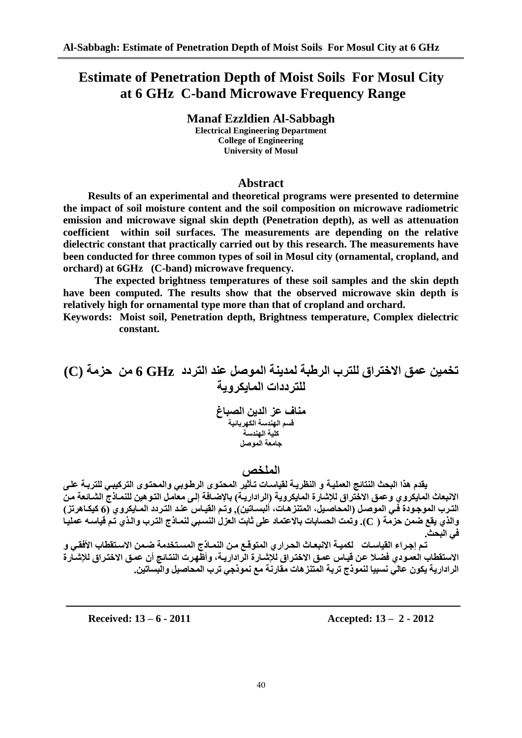# **Estimate of Penetration Depth of Moist Soils For Mosul City at 6 GHz C-band Microwave Frequency Range**

**Manaf Ezzldien Al-Sabbagh Electrical Engineering Department College of Engineering University of Mosul**

# **Abstract**

**Results of an experimental and theoretical programs were presented to determine the impact of soil moisture content and the soil composition on microwave radiometric emission and microwave signal skin depth (Penetration depth), as well as attenuation coefficient within soil surfaces. The measurements are depending on the relative dielectric constant that practically carried out by this research. The measurements have been conducted for three common types of soil in Mosul city (ornamental, cropland, and orchard) at 6GHz (C-band) microwave frequency.**

**The expected brightness temperatures of these soil samples and the skin depth have been computed. The results show that the observed microwave skin depth is relatively high for ornamental type more than that of cropland and orchard.**

**Keywords: Moist soil, Penetration depth, Brightness temperature, Complex dielectric constant.**

**حخًٍُ عًق االخخشاق نهخشب انشطبت نًذَُت انًىصم عُذ انخشدد GHz 6 يٍ حزيت (C( نهخشدداث انًاَكشوَت** 

> **يُاف عز انذٍَ انصباغ** قسم اله**ن**دسة الكهربائية **كهُت انهُذست** .<br>جا**معة الم**وصل

# الملخص

يقدم هذا البحث النتائج العمليـة و النظريـة لقياسـات تـأثير المحتوى الرطـوبي والمحتوى التركيبـي للتربـة عل*ـي* الانبعاث المايكروي وعمق الاختراق للإشارة المايكروية (الراداريـة) بالإضـافة إلـى معامل التوهين للنمـاذج الشـائعة من الترب الموجودة في الموصل (المحاصيل، المتنزهات، ألبسـاتين). وتم القيـاس ع*نـد* التـردد المـايكروي (6 كيكـاهرتز ) والذي يقع ضمن حزمة ( C ). وتُمت الحسابات بالاعتماد على ثابت العزل النسبي لنمـاذج الترب والذي تُم قَياسـه عمليـا  **ٍ انبحذ.**

تم إجراء القياسات لكميـة الانبعـاتْ الحراري المتوقـّع مـن النمـاذج المسـتخدمة ضـمن الاستقطاب الأفقـي و الاستقطاب العمـودي فضـلا عن قيـاس عمـق الاختراق للإشـارة الراداريـة، وأظّهرت النتـائج أن عمـق الاختراق للإشـارة الرادارية يكون عالى نسبيا لنموذج تربة المتنزهات مقارنة مع نموذجي ترب المحاصيل والبِساتين.

**Received: 13 – 6 - 2011 Accepted: 13 – 2 - 2012**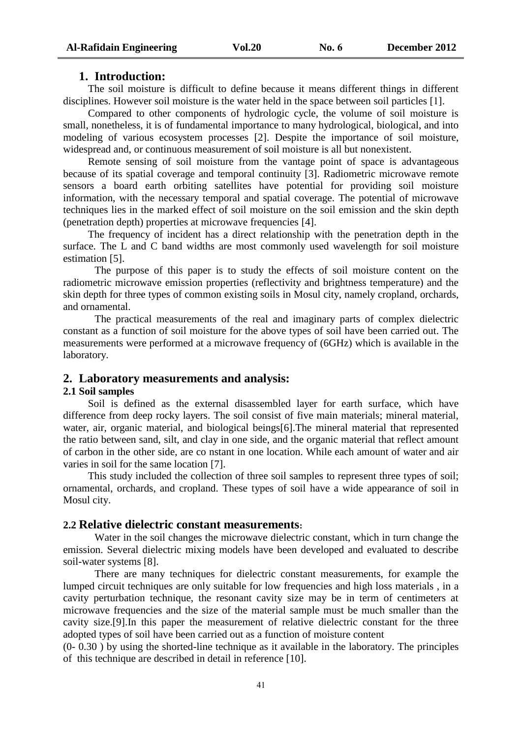### **1. Introduction:**

The soil moisture is difficult to define because it means different things in different disciplines. However soil moisture is the water held in the space between soil particles [4].

Compared to other components of hydrologic cycle, the volume of soil moisture is small, nonetheless, it is of fundamental importance to many hydrological, biological, and into modeling of various ecosystem processes [2]. Despite the importance of soil moisture, widespread and, or continuous measurement of soil moisture is all but nonexistent.

Remote sensing of soil moisture from the vantage point of space is advantageous because of its spatial coverage and temporal continuity [3]. Radiometric microwave remote sensors a board earth orbiting satellites have potential for providing soil moisture information, with the necessary temporal and spatial coverage. The potential of microwave techniques lies in the marked effect of soil moisture on the soil emission and the skin depth (penetration depth) properties at microwave frequencies [4].

The frequency of incident has a direct relationship with the penetration depth in the surface. The L and C band widths are most commonly used wavelength for soil moisture estimation [5].

The purpose of this paper is to study the effects of soil moisture content on the radiometric microwave emission properties (reflectivity and brightness temperature) and the skin depth for three types of common existing soils in Mosul city, namely cropland, orchards, and ornamental.

The practical measurements of the real and imaginary parts of complex dielectric constant as a function of soil moisture for the above types of soil have been carried out. The measurements were performed at a microwave frequency of (6GHz) which is available in the laboratory.

#### **2. Laboratory measurements and analysis:**

#### **2.1 Soil samples**

Soil is defined as the external disassembled layer for earth surface, which have difference from deep rocky layers. The soil consist of five main materials; mineral material, water, air, organic material, and biological beings[6].The mineral material that represented the ratio between sand, silt, and clay in one side, and the organic material that reflect amount of carbon in the other side, are co nstant in one location. While each amount of water and air varies in soil for the same location [7].

This study included the collection of three soil samples to represent three types of soil; ornamental, orchards, and cropland. These types of soil have a wide appearance of soil in Mosul city.

#### **2.2 Relative dielectric constant measurements:**

Water in the soil changes the microwave dielectric constant, which in turn change the emission. Several dielectric mixing models have been developed and evaluated to describe soil-water systems [8].

There are many techniques for dielectric constant measurements, for example the lumped circuit techniques are only suitable for low frequencies and high loss materials , in a cavity perturbation technique, the resonant cavity size may be in term of centimeters at microwave frequencies and the size of the material sample must be much smaller than the cavity size.[9].In this paper the measurement of relative dielectric constant for the three adopted types of soil have been carried out as a function of moisture content

(0- 0.30 ) by using the shorted-line technique as it available in the laboratory. The principles of this technique are described in detail in reference [10].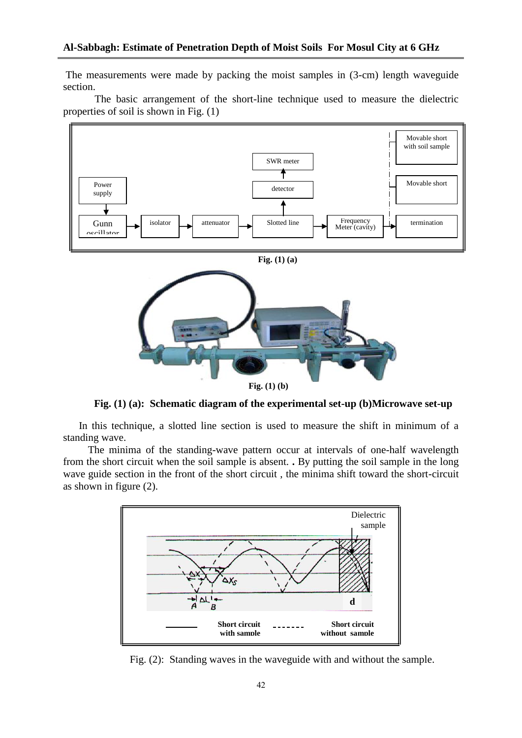The measurements were made by packing the moist samples in (3-cm) length waveguide section.

The basic arrangement of the short-line technique used to measure the dielectric properties of soil is shown in Fig. (1)



**Fig. (1) (b)**

**Fig. (1) (a): Schematic diagram of the experimental set-up (b)Microwave set-up**

 In this technique, a slotted line section is used to measure the shift in minimum of a standing wave.

The minima of the standing-wave pattern occur at intervals of one-half wavelength from the short circuit when the soil sample is absent. **.** By putting the soil sample in the long wave guide section in the front of the short circuit , the minima shift toward the short-circuit as shown in figure (2).



Fig. (2): Standing waves in the waveguide with and without the sample.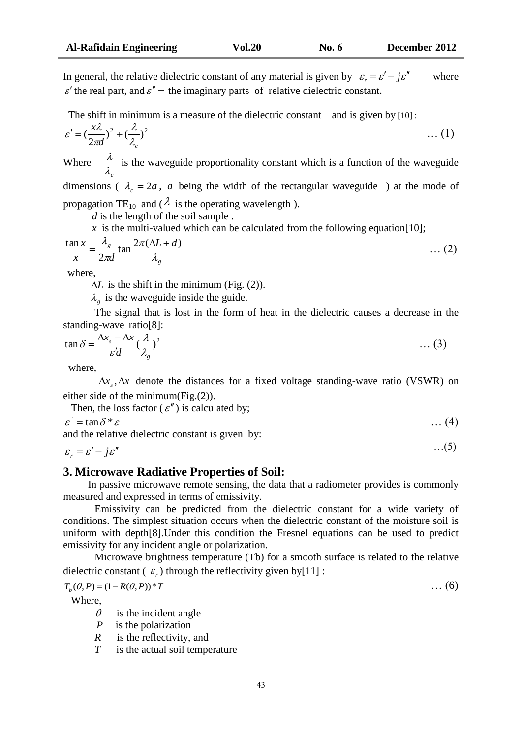In general, the relative dielectric constant of any material is given by  $\varepsilon_r = \varepsilon' - j\varepsilon''$  where  $\varepsilon'$  the real part, and  $\varepsilon'' =$  the imaginary parts of relative dielectric constant.

The shift in minimum is a measure of the dielectric constant and is given by [10] :

$$
\varepsilon' = \left(\frac{x\lambda}{2\pi d}\right)^2 + \left(\frac{\lambda}{\lambda_c}\right)^2 \tag{1}
$$

Where  $\lambda_{c}$  $\frac{\lambda}{\lambda}$  is the waveguide proportionality constant which is a function of the waveguide dimensions ( $\lambda_c = 2a$ , *a* being the width of the rectangular waveguide) at the mode of

propagation TE<sub>10</sub> and ( $\lambda$  is the operating wavelength).

*d* is the length of the soil sample.

 $\bar{x}$  is the multi-valued which can be calculated from the following equation [10];

$$
\frac{\tan x}{x} = \frac{\lambda_g}{2\pi d} \tan \frac{2\pi(\Delta L + d)}{\lambda_g} \tag{2}
$$

where,

 $\Delta L$  is the shift in the minimum (Fig. (2)).

 $\lambda_g$  is the waveguide inside the guide.

The signal that is lost in the form of heat in the dielectric causes a decrease in the standing-wave ratio[8]:

$$
\tan \delta = \frac{\Delta x_s - \Delta x}{\varepsilon' d} (\frac{\lambda}{\lambda_g})^2 \qquad \qquad \dots (3)
$$

where,

 $\Delta x$ ,  $\Delta x$  denote the distances for a fixed voltage standing-wave ratio (VSWR) on either side of the minimum(Fig.(2)).

Then, the loss factor 
$$
(\varepsilon'')
$$
 is calculated by;  
\n $\varepsilon^{v} = \tan \delta * \varepsilon'$  ... (4)  
\nand the relative dielectric constant is given by:

$$
\varepsilon_r = \varepsilon' - j\varepsilon'' \tag{5}
$$

# **3. Microwave Radiative Properties of Soil:**

In passive microwave remote sensing, the data that a radiometer provides is commonly measured and expressed in terms of emissivity.

Emissivity can be predicted from the dielectric constant for a wide variety of conditions. The simplest situation occurs when the dielectric constant of the moisture soil is uniform with depth[8].Under this condition the Fresnel equations can be used to predict emissivity for any incident angle or polarization.

Microwave brightness temperature (Tb) for a smooth surface is related to the relative dielectric constant  $(\varepsilon_r)$  through the reflectivity given by [11] :

 $T_b(\theta, P) = (1 - R(\theta, P))^* T$  … (6)

Where,

- $\theta$  is the incident angle
- *P* is the polarization
- *R* is the reflectivity, and
- *T* is the actual soil temperature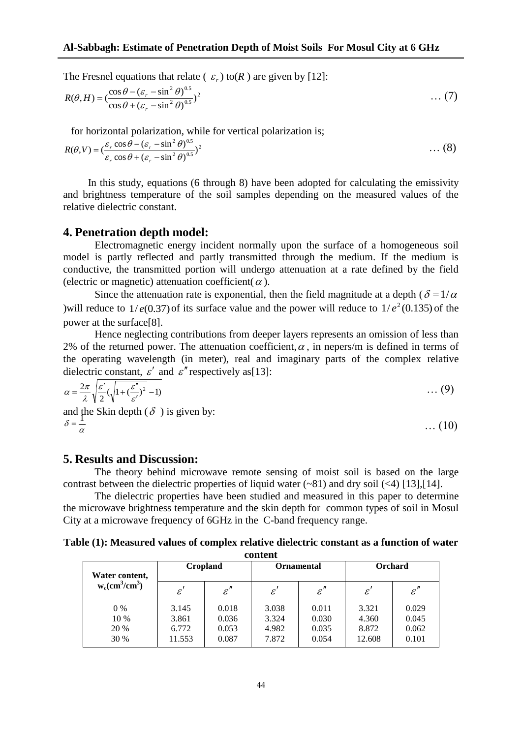The Fresnel equations that relate  $(\varepsilon_r)$  to  $(R)$  are given by [12]:

$$
R(\theta, H) = \left(\frac{\cos \theta - (\varepsilon_r - \sin^2 \theta)^{0.5}}{\cos \theta + (\varepsilon_r - \sin^2 \theta)^{0.5}}\right)^2 \tag{7}
$$

for horizontal polarization, while for vertical polarization is;

$$
R(\theta, V) = (\frac{\varepsilon_r \cos \theta - (\varepsilon_r - \sin^2 \theta)^{0.5}}{\varepsilon_r \cos \theta + (\varepsilon_r - \sin^2 \theta)^{0.5}})^2
$$
 (8)

In this study, equations (6 through 8) have been adopted for calculating the emissivity and brightness temperature of the soil samples depending on the measured values of the relative dielectric constant.

#### **4. Penetration depth model:**

Electromagnetic energy incident normally upon the surface of a homogeneous soil model is partly reflected and partly transmitted through the medium. If the medium is conductive, the transmitted portion will undergo attenuation at a rate defined by the field (electric or magnetic) attenuation coefficient( $\alpha$ ).

Since the attenuation rate is exponential, then the field magnitude at a depth ( $\delta = 1/\alpha$ ) will reduce to  $1/e(0.37)$  of its surface value and the power will reduce to  $1/e^2(0.135)$  of the power at the surface[8].

Hence neglecting contributions from deeper layers represents an omission of less than 2% of the returned power. The attenuation coefficient,  $\alpha$ , in nepers/m is defined in terms of the operating wavelength (in meter), real and imaginary parts of the complex relative dielectric constant,  $\varepsilon'$  and  $\varepsilon''$  respectively as[13]:

$$
\alpha = \frac{2\pi}{\lambda} \sqrt{\frac{\varepsilon'}{2}} (\sqrt{1 + (\frac{\varepsilon''}{\varepsilon'})^2} - 1) \tag{9}
$$

 $\dots(10)$ 

and the Skin depth  $(\delta)$  is given by:  $\delta = \frac{1}{\alpha}$ 

### **5. Results and Discussion:**

The theory behind microwave remote sensing of moist soil is based on the large contrast between the dielectric properties of liquid water  $(-81)$  and dry soil  $(4)$  [13],[14].

The dielectric properties have been studied and measured in this paper to determine the microwave brightness temperature and the skin depth for common types of soil in Mosul City at a microwave frequency of 6GHz in the C-band frequency range.

**Table (1): Measured values of complex relative dielectric constant as a function of water content** 

| Water content,<br>$w_c$ (cm <sup>3</sup> /cm <sup>3</sup> ) | Cropland                          |                                  | <b>Ornamental</b>                |                                  | Orchard                           |                                  |
|-------------------------------------------------------------|-----------------------------------|----------------------------------|----------------------------------|----------------------------------|-----------------------------------|----------------------------------|
|                                                             | $\mathcal{E}^{\prime}$            | $\varepsilon''$                  | $\varepsilon'$                   | $\varepsilon''$                  | $\mathcal{E}^{\prime}$            | $\varepsilon''$                  |
| $0\%$<br>10 %<br>20 %<br>30 %                               | 3.145<br>3.861<br>6.772<br>11.553 | 0.018<br>0.036<br>0.053<br>0.087 | 3.038<br>3.324<br>4.982<br>7.872 | 0.011<br>0.030<br>0.035<br>0.054 | 3.321<br>4.360<br>8.872<br>12.608 | 0.029<br>0.045<br>0.062<br>0.101 |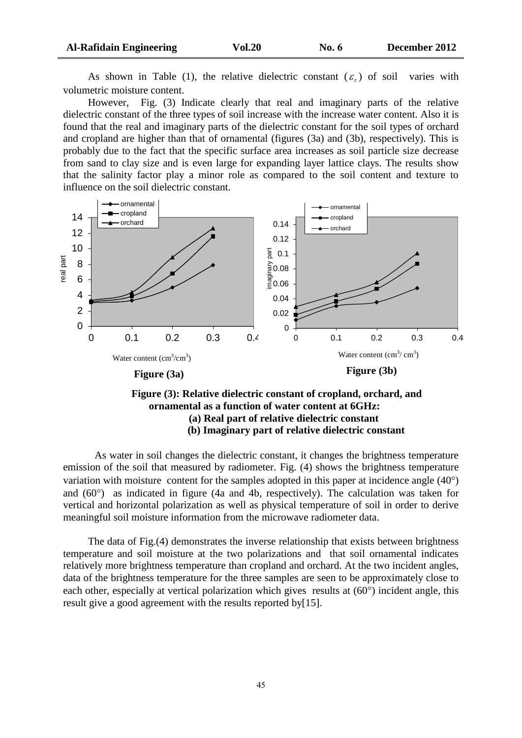As shown in Table (1), the relative dielectric constant  $(\varepsilon_r)$ varies with volumetric moisture content.

However, Fig. (3) Indicate clearly that real and imaginary parts of the relative dielectric constant of the three types of soil increase with the increase water content. Also it is found that the real and imaginary parts of the dielectric constant for the soil types of orchard and cropland are higher than that of ornamental (figures (3a) and (3b), respectively). This is probably due to the fact that the specific surface area increases as soil particle size decrease from sand to clay size and is even large for expanding layer lattice clays. The results show that the salinity factor play a minor role as compared to the soil content and texture to influence on the soil dielectric constant.



## **Figure (3b) (b) Imaginary part of relative dielectric constantFigure (3): Relative dielectric constant of cropland, orchard, and ornamental as a function of water content at 6GHz: (a) Real part of relative dielectric constant**

As water in soil changes the dielectric constant, it changes the brightness temperature emission of the soil that measured by radiometer. Fig. (4) shows the brightness temperature variation with moisture content for the samples adopted in this paper at incidence angle  $(40^{\circ})$ and  $(60^{\circ})$  as indicated in figure (4a and 4b, respectively). The calculation was taken for vertical and horizontal polarization as well as physical temperature of soil in order to derive meaningful soil moisture information from the microwave radiometer data.

The data of Fig.(4) demonstrates the inverse relationship that exists between brightness temperature and soil moisture at the two polarizations and that soil ornamental indicates relatively more brightness temperature than cropland and orchard. At the two incident angles, data of the brightness temperature for the three samples are seen to be approximately close to each other, especially at vertical polarization which gives results at  $(60^{\circ})$  incident angle, this result give a good agreement with the results reported by[15].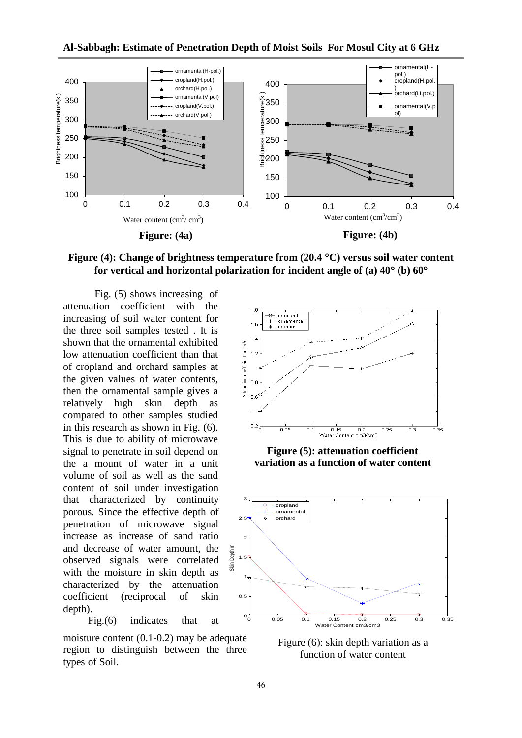

**Figure (4): Change of brightness temperature from (20.4 C) versus soil water content**  for vertical and horizontal polarization for incident angle of (a)  $40^{\circ}$  (b)  $60^{\circ}$ 

Fig. (5) shows increasing of attenuation coefficient with the increasing of soil water content for the three soil samples tested . It is shown that the ornamental exhibited low attenuation coefficient than that of cropland and orchard samples at the given values of water contents, then the ornamental sample gives a relatively high skin depth as compared to other samples studied in this research as shown in Fig. (6). This is due to ability of microwave signal to penetrate in soil depend on the a mount of water in a unit volume of soil as well as the sand content of soil under investigation that characterized by continuity porous. Since the effective depth of penetration of microwave signal increase as increase of sand ratio and decrease of water amount, the observed signals were correlated with the moisture in skin depth as characterized by the attenuation coefficient (reciprocal of skin depth).

Fig.(6) indicates that at

moisture content (0.1-0.2) may be adequate region to distinguish between the three types of Soil.



**Figure (5): attenuation coefficient variation as a function of water content**



Figure (6): skin depth variation as a function of water content